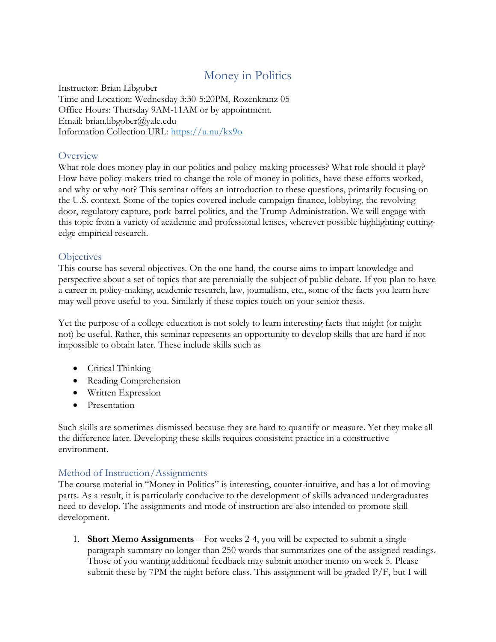# Money in Politics

Instructor: Brian Libgober Time and Location: Wednesday 3:30-5:20PM, Rozenkranz 05 Office Hours: Thursday 9AM-11AM or by appointment. Email: brian.libgober@yale.edu Information Collection URL:<https://u.nu/kx9o>

#### **Overview**

What role does money play in our politics and policy-making processes? What role should it play? How have policy-makers tried to change the role of money in politics, have these efforts worked, and why or why not? This seminar offers an introduction to these questions, primarily focusing on the U.S. context. Some of the topics covered include campaign finance, lobbying, the revolving door, regulatory capture, pork-barrel politics, and the Trump Administration. We will engage with this topic from a variety of academic and professional lenses, wherever possible highlighting cuttingedge empirical research.

#### **Objectives**

This course has several objectives. On the one hand, the course aims to impart knowledge and perspective about a set of topics that are perennially the subject of public debate. If you plan to have a career in policy-making, academic research, law, journalism, etc., some of the facts you learn here may well prove useful to you. Similarly if these topics touch on your senior thesis.

Yet the purpose of a college education is not solely to learn interesting facts that might (or might not) be useful. Rather, this seminar represents an opportunity to develop skills that are hard if not impossible to obtain later. These include skills such as

- Critical Thinking
- Reading Comprehension
- Written Expression
- Presentation

Such skills are sometimes dismissed because they are hard to quantify or measure. Yet they make all the difference later. Developing these skills requires consistent practice in a constructive environment.

# Method of Instruction/Assignments

The course material in "Money in Politics" is interesting, counter-intuitive, and has a lot of moving parts. As a result, it is particularly conducive to the development of skills advanced undergraduates need to develop. The assignments and mode of instruction are also intended to promote skill development.

1. **Short Memo Assignments** – For weeks 2-4, you will be expected to submit a singleparagraph summary no longer than 250 words that summarizes one of the assigned readings. Those of you wanting additional feedback may submit another memo on week 5. Please submit these by 7PM the night before class. This assignment will be graded P/F, but I will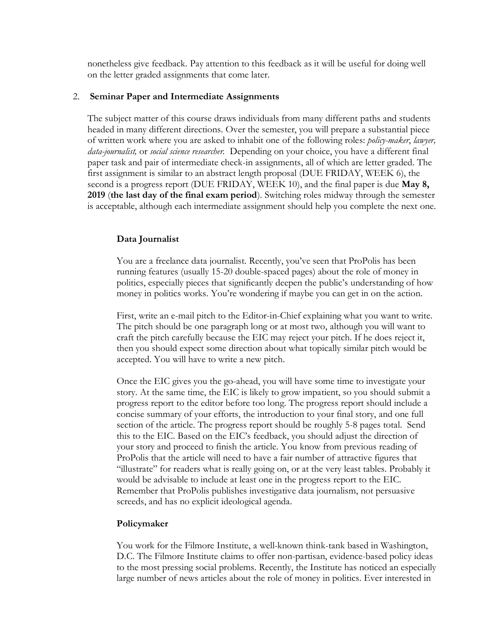nonetheless give feedback. Pay attention to this feedback as it will be useful for doing well on the letter graded assignments that come later.

#### 2. **Seminar Paper and Intermediate Assignments**

The subject matter of this course draws individuals from many different paths and students headed in many different directions. Over the semester, you will prepare a substantial piece of written work where you are asked to inhabit one of the following roles: *policy-maker*, *lawyer, data-journalist,* or *social science researcher.* Depending on your choice, you have a different final paper task and pair of intermediate check-in assignments, all of which are letter graded. The first assignment is similar to an abstract length proposal (DUE FRIDAY, WEEK 6), the second is a progress report (DUE FRIDAY, WEEK 10), and the final paper is due **May 8, 2019** (**the last day of the final exam period**). Switching roles midway through the semester is acceptable, although each intermediate assignment should help you complete the next one.

# **Data Journalist**

You are a freelance data journalist. Recently, you've seen that ProPolis has been running features (usually 15-20 double-spaced pages) about the role of money in politics, especially pieces that significantly deepen the public's understanding of how money in politics works. You're wondering if maybe you can get in on the action.

First, write an e-mail pitch to the Editor-in-Chief explaining what you want to write. The pitch should be one paragraph long or at most two, although you will want to craft the pitch carefully because the EIC may reject your pitch. If he does reject it, then you should expect some direction about what topically similar pitch would be accepted. You will have to write a new pitch.

Once the EIC gives you the go-ahead, you will have some time to investigate your story. At the same time, the EIC is likely to grow impatient, so you should submit a progress report to the editor before too long. The progress report should include a concise summary of your efforts, the introduction to your final story, and one full section of the article. The progress report should be roughly 5-8 pages total. Send this to the EIC. Based on the EIC's feedback, you should adjust the direction of your story and proceed to finish the article. You know from previous reading of ProPolis that the article will need to have a fair number of attractive figures that "illustrate" for readers what is really going on, or at the very least tables. Probably it would be advisable to include at least one in the progress report to the EIC. Remember that ProPolis publishes investigative data journalism, not persuasive screeds, and has no explicit ideological agenda.

# **Policymaker**

You work for the Filmore Institute, a well-known think-tank based in Washington, D.C. The Filmore Institute claims to offer non-partisan, evidence-based policy ideas to the most pressing social problems. Recently, the Institute has noticed an especially large number of news articles about the role of money in politics. Ever interested in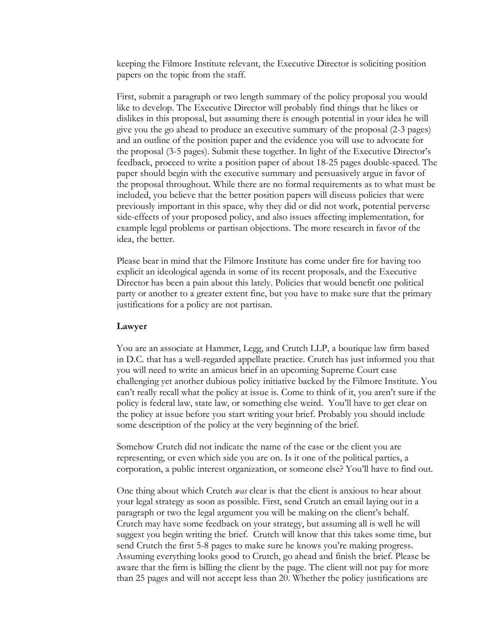keeping the Filmore Institute relevant, the Executive Director is soliciting position papers on the topic from the staff.

First, submit a paragraph or two length summary of the policy proposal you would like to develop. The Executive Director will probably find things that he likes or dislikes in this proposal, but assuming there is enough potential in your idea he will give you the go ahead to produce an executive summary of the proposal (2-3 pages) and an outline of the position paper and the evidence you will use to advocate for the proposal (3-5 pages). Submit these together. In light of the Executive Director's feedback, proceed to write a position paper of about 18-25 pages double-spaced. The paper should begin with the executive summary and persuasively argue in favor of the proposal throughout. While there are no formal requirements as to what must be included, you believe that the better position papers will discuss policies that were previously important in this space, why they did or did not work, potential perverse side-effects of your proposed policy, and also issues affecting implementation, for example legal problems or partisan objections. The more research in favor of the idea, the better.

Please bear in mind that the Filmore Institute has come under fire for having too explicit an ideological agenda in some of its recent proposals, and the Executive Director has been a pain about this lately. Policies that would benefit one political party or another to a greater extent fine, but you have to make sure that the primary justifications for a policy are not partisan.

#### **Lawyer**

You are an associate at Hammer, Legg, and Crutch LLP, a boutique law firm based in D.C. that has a well-regarded appellate practice. Crutch has just informed you that you will need to write an amicus brief in an upcoming Supreme Court case challenging yet another dubious policy initiative backed by the Filmore Institute. You can't really recall what the policy at issue is. Come to think of it, you aren't sure if the policy is federal law, state law, or something else weird. You'll have to get clear on the policy at issue before you start writing your brief. Probably you should include some description of the policy at the very beginning of the brief.

Somehow Crutch did not indicate the name of the case or the client you are representing, or even which side you are on. Is it one of the political parties, a corporation, a public interest organization, or someone else? You'll have to find out.

One thing about which Crutch *was* clear is that the client is anxious to hear about your legal strategy as soon as possible. First, send Crutch an email laying out in a paragraph or two the legal argument you will be making on the client's behalf. Crutch may have some feedback on your strategy, but assuming all is well he will suggest you begin writing the brief. Crutch will know that this takes some time, but send Crutch the first 5-8 pages to make sure he knows you're making progress. Assuming everything looks good to Crutch, go ahead and finish the brief. Please be aware that the firm is billing the client by the page. The client will not pay for more than 25 pages and will not accept less than 20. Whether the policy justifications are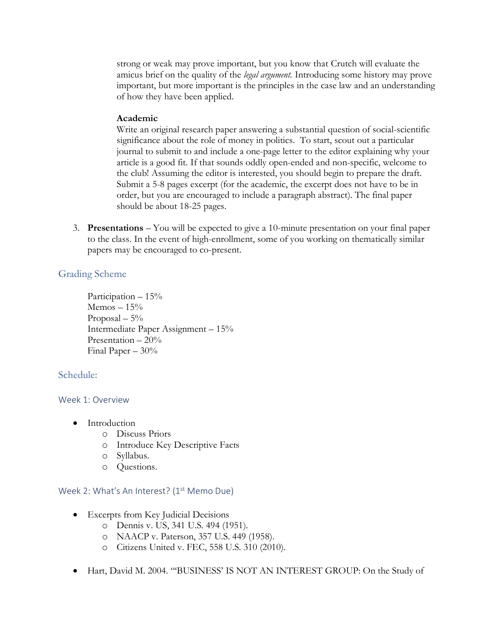strong or weak may prove important, but you know that Crutch will evaluate the amicus brief on the quality of the *legal argument.* Introducing some history may prove important, but more important is the principles in the case law and an understanding of how they have been applied.

#### **Academic**

Write an original research paper answering a substantial question of social-scientific significance about the role of money in politics. To start, scout out a particular journal to submit to and include a one-page letter to the editor explaining why your article is a good fit. If that sounds oddly open-ended and non-specific, welcome to the club! Assuming the editor is interested, you should begin to prepare the draft. Submit a 5-8 pages excerpt (for the academic, the excerpt does not have to be in order, but you are encouraged to include a paragraph abstract). The final paper should be about 18-25 pages.

3. **Presentations** – You will be expected to give a 10-minute presentation on your final paper to the class. In the event of high-enrollment, some of you working on thematically similar papers may be encouraged to co-present.

# Grading Scheme

Participation – 15%  $Memos - 15%$ Proposal  $-5%$ Intermediate Paper Assignment – 15% Presentation  $-20\%$ Final Paper – 30%

# Schedule:

#### Week 1: Overview

- Introduction
	- o Discuss Priors
	- o Introduce Key Descriptive Facts
	- o Syllabus.
	- o Questions.

#### Week 2: What's An Interest? (1<sup>st</sup> Memo Due)

- Excerpts from Key Judicial Decisions
	- o Dennis v. US, 341 U.S. 494 (1951).
	- o NAACP v. Paterson, 357 U.S. 449 (1958).
	- o Citizens United v. FEC, 558 U.S. 310 (2010).
- Hart, David M. 2004. "BUSINESS' IS NOT AN INTEREST GROUP: On the Study of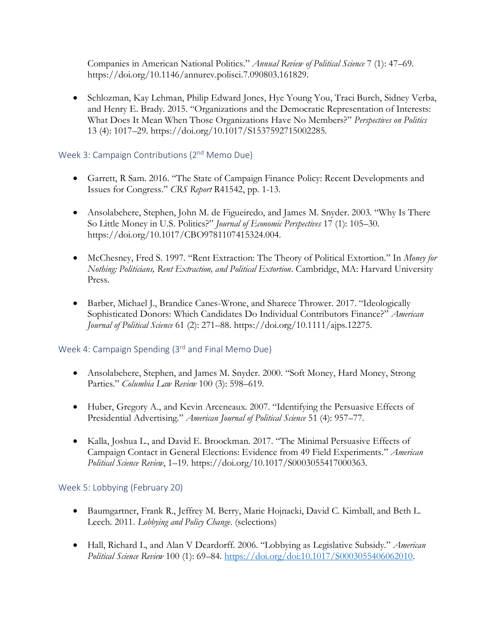Companies in American National Politics." *Annual Review of Political Science* 7 (1): 47–69. https://doi.org/10.1146/annurev.polisci.7.090803.161829.

• Schlozman, Kay Lehman, Philip Edward Jones, Hye Young You, Traci Burch, Sidney Verba, and Henry E. Brady. 2015. "Organizations and the Democratic Representation of Interests: What Does It Mean When Those Organizations Have No Members?" *Perspectives on Politics* 13 (4): 1017–29. https://doi.org/10.1017/S1537592715002285.

Week 3: Campaign Contributions (2<sup>nd</sup> Memo Due)

- Garrett, R Sam. 2016. "The State of Campaign Finance Policy: Recent Developments and Issues for Congress." *CRS Report* R41542, pp. 1-13.
- Ansolabehere, Stephen, John M. de Figueiredo, and James M. Snyder. 2003. "Why Is There So Little Money in U.S. Politics?" *Journal of Economic Perspectives* 17 (1): 105–30. https://doi.org/10.1017/CBO9781107415324.004.
- McChesney, Fred S. 1997. "Rent Extraction: The Theory of Political Extortion." In *Money for Nothing: Politicians, Rent Extraction, and Political Extortion*. Cambridge, MA: Harvard University Press.
- Barber, Michael J., Brandice Canes-Wrone, and Sharece Thrower. 2017. "Ideologically Sophisticated Donors: Which Candidates Do Individual Contributors Finance?" *American Journal of Political Science* 61 (2): 271–88. https://doi.org/10.1111/ajps.12275.

Week 4: Campaign Spending (3rd and Final Memo Due)

- Ansolabehere, Stephen, and James M. Snyder. 2000. "Soft Money, Hard Money, Strong Parties." *Columbia Law Review* 100 (3): 598–619.
- Huber, Gregory A., and Kevin Arceneaux. 2007. "Identifying the Persuasive Effects of Presidential Advertising." *American Journal of Political Science* 51 (4): 957–77.
- Kalla, Joshua L., and David E. Broockman. 2017. "The Minimal Persuasive Effects of Campaign Contact in General Elections: Evidence from 49 Field Experiments." *American Political Science Review*, 1–19. https://doi.org/10.1017/S0003055417000363.

#### Week 5: Lobbying (February 20)

- Baumgartner, Frank R., Jeffrey M. Berry, Marie Hojnacki, David C. Kimball, and Beth L. Leech. 2011. *Lobbying and Policy Change*. (selections)
- Hall, Richard L, and Alan V Deardorff. 2006. "Lobbying as Legislative Subsidy." *American Political Science Review* 100 (1): 69–84. [https://doi.org/doi:10.1017/S0003055406062010.](https://doi.org/doi:10.1017/S0003055406062010)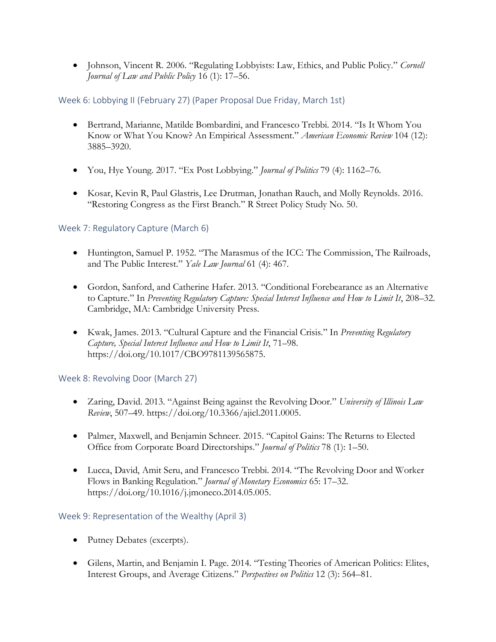• Johnson, Vincent R. 2006. "Regulating Lobbyists: Law, Ethics, and Public Policy." *Cornell Journal of Law and Public Policy* 16 (1): 17–56.

# Week 6: Lobbying II (February 27) (Paper Proposal Due Friday, March 1st)

- Bertrand, Marianne, Matilde Bombardini, and Francesco Trebbi. 2014. "Is It Whom You Know or What You Know? An Empirical Assessment." *American Economic Review* 104 (12): 3885–3920.
- You, Hye Young. 2017. "Ex Post Lobbying." *Journal of Politics* 79 (4): 1162–76.
- Kosar, Kevin R, Paul Glastris, Lee Drutman, Jonathan Rauch, and Molly Reynolds. 2016. "Restoring Congress as the First Branch." R Street Policy Study No. 50.

# Week 7: Regulatory Capture (March 6)

- Huntington, Samuel P. 1952. "The Marasmus of the ICC: The Commission, The Railroads, and The Public Interest." *Yale Law Journal* 61 (4): 467.
- Gordon, Sanford, and Catherine Hafer. 2013. "Conditional Forebearance as an Alternative to Capture." In *Preventing Regulatory Capture: Special Interest Influence and How to Limit It*, 208–32. Cambridge, MA: Cambridge University Press.
- Kwak, James. 2013. "Cultural Capture and the Financial Crisis." In *Preventing Regulatory Capture, Special Interest Influence and How to Limit It*, 71–98. https://doi.org/10.1017/CBO9781139565875.

# Week 8: Revolving Door (March 27)

- Zaring, David. 2013. "Against Being against the Revolving Door." *University of Illinois Law Review*, 507–49. https://doi.org/10.3366/ajicl.2011.0005.
- Palmer, Maxwell, and Benjamin Schneer. 2015. "Capitol Gains: The Returns to Elected Office from Corporate Board Directorships." *Journal of Politics* 78 (1): 1–50.
- Lucca, David, Amit Seru, and Francesco Trebbi. 2014. "The Revolving Door and Worker Flows in Banking Regulation." *Journal of Monetary Economics* 65: 17–32. https://doi.org/10.1016/j.jmoneco.2014.05.005.

# Week 9: Representation of the Wealthy (April 3)

- Putney Debates (excerpts).
- Gilens, Martin, and Benjamin I. Page. 2014. "Testing Theories of American Politics: Elites, Interest Groups, and Average Citizens." *Perspectives on Politics* 12 (3): 564–81.